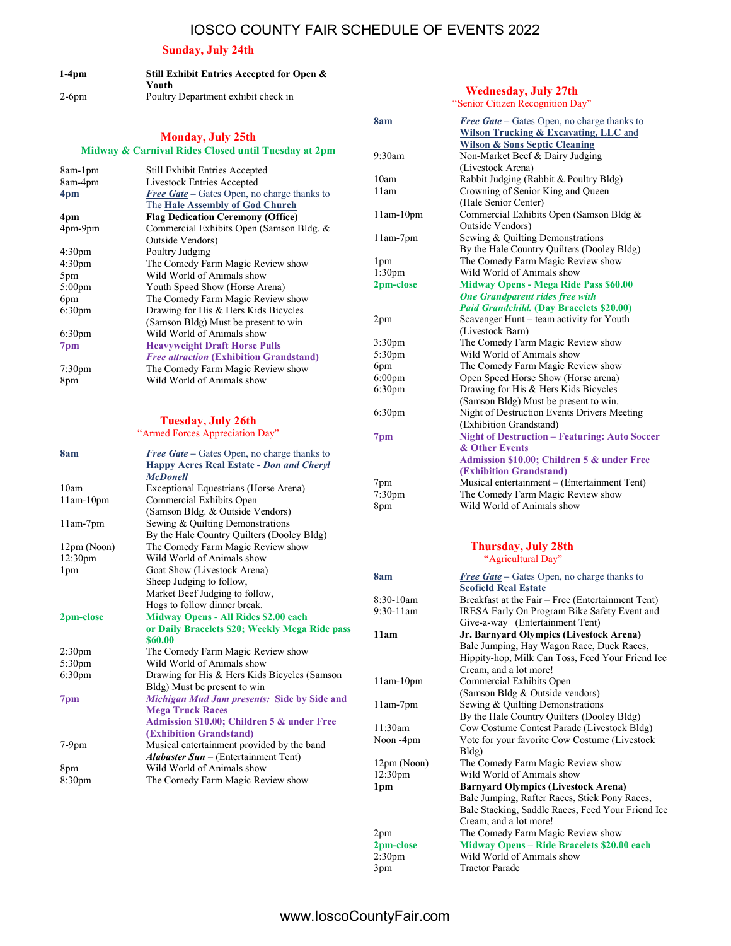## IOSCO COUNTY FAIR SCHEDULE OF EVENTS 2022

#### Sunday, July 24th

| $1-4$ pm | Still Exhibit Entries Accepted for Open & |
|----------|-------------------------------------------|
|          | Youth                                     |
| $2-6$ pm | Poultry Department exhibit check in       |

#### Monday, July 25th Midway & Carnival Rides Closed until Tuesday at 2pm

| <b>Still Exhibit Entries Accepted</b>              |
|----------------------------------------------------|
| Livestock Entries Accepted                         |
| <b>Free Gate</b> – Gates Open, no charge thanks to |
| The Hale Assembly of God Church                    |
| <b>Flag Dedication Ceremony (Office)</b>           |
| Commercial Exhibits Open (Samson Bldg. &           |
| Outside Vendors)                                   |
| Poultry Judging                                    |
| The Comedy Farm Magic Review show                  |
| Wild World of Animals show                         |
| Youth Speed Show (Horse Arena)                     |
| The Comedy Farm Magic Review show                  |
| Drawing for His & Hers Kids Bicycles               |
| (Samson Bldg) Must be present to win               |
| Wild World of Animals show                         |
| <b>Heavyweight Draft Horse Pulls</b>               |
| <b>Free attraction (Exhibition Grandstand)</b>     |
| The Comedy Farm Magic Review show                  |
| Wild World of Animals show                         |
|                                                    |

#### Tuesday, July 26th

| "Armed Forces Appreciation Day" |                                                                                                                          |  |  |
|---------------------------------|--------------------------------------------------------------------------------------------------------------------------|--|--|
| 8am                             | <b>Free Gate</b> – Gates Open, no charge thanks to<br><b>Happy Acres Real Estate - Don and Cheryl</b><br><b>McDonell</b> |  |  |
| 10am                            | Exceptional Equestrians (Horse Arena)                                                                                    |  |  |
| $11am-10pm$                     | Commercial Exhibits Open                                                                                                 |  |  |
|                                 | (Samson Bldg. & Outside Vendors)                                                                                         |  |  |
| $11am-7pm$                      | Sewing & Quilting Demonstrations                                                                                         |  |  |
|                                 | By the Hale Country Quilters (Dooley Bldg)                                                                               |  |  |
| 12pm (Noon)                     | The Comedy Farm Magic Review show                                                                                        |  |  |
| 12:30pm                         | Wild World of Animals show                                                                                               |  |  |
| 1 <sub>pm</sub>                 | Goat Show (Livestock Arena)                                                                                              |  |  |
|                                 | Sheep Judging to follow,                                                                                                 |  |  |
|                                 | Market Beef Judging to follow,                                                                                           |  |  |
|                                 | Hogs to follow dinner break.                                                                                             |  |  |
| 2pm-close                       | Midway Opens - All Rides \$2.00 each                                                                                     |  |  |
|                                 | or Daily Bracelets \$20; Weekly Mega Ride pass<br>\$60.00                                                                |  |  |
| 2:30 <sub>pm</sub>              | The Comedy Farm Magic Review show                                                                                        |  |  |
| 5:30 <sub>pm</sub>              | Wild World of Animals show                                                                                               |  |  |
| 6:30 <sub>pm</sub>              | Drawing for His & Hers Kids Bicycles (Samson                                                                             |  |  |
|                                 | Bldg) Must be present to win                                                                                             |  |  |
| 7 <sub>pm</sub>                 | Michigan Mud Jam presents: Side by Side and                                                                              |  |  |
|                                 | <b>Mega Truck Races</b>                                                                                                  |  |  |
|                                 | Admission \$10.00; Children 5 & under Free                                                                               |  |  |
|                                 | (Exhibition Grandstand)                                                                                                  |  |  |
| $7-9$ pm                        | Musical entertainment provided by the band                                                                               |  |  |
|                                 | <b>Alabaster Sun</b> – (Entertainment Tent)                                                                              |  |  |
| 8pm                             | Wild World of Animals show                                                                                               |  |  |
| 8:30 <sub>pm</sub>              | The Comedy Farm Magic Review show                                                                                        |  |  |

#### Wednesday, July 27th "Senior Citizen Recognition Day" 8am Free Gate – Gates Open, no charge thanks to Wilson Trucking & Excavating, LLC and Wilson & Sons Septic Cleaning 9:30am Non-Market Beef & Dairy Judging (Livestock Arena) 10am Rabbit Judging (Rabbit & Poultry Bldg)<br>11am Crowning of Senior King and Queen Crowning of Senior King and Queen (Hale Senior Center) 11am-10pm Commercial Exhibits Open (Samson Bldg & Outside Vendors) 11am-7pm Sewing & Quilting Demonstrations By the Hale Country Quilters (Dooley Bldg) 1pm The Comedy Farm Magic Review show 1:30pm Wild World of Animals show 2pm-close Midway Opens - Mega Ride Pass \$60.00 One Grandparent rides free with Paid Grandchild. (Day Bracelets \$20.00) 2pm Scavenger Hunt – team activity for Youth (Livestock Barn) 3:30pm The Comedy Farm Magic Review show<br>5:30pm Wild World of Animals show Wild World of Animals show 6pm The Comedy Farm Magic Review show 6:00pm Open Speed Horse Show (Horse arena) 6:30pm Drawing for His & Hers Kids Bicycles (Samson Bldg) Must be present to win. 6:30pm Night of Destruction Events Drivers Meeting (Exhibition Grandstand) 7pm Night of Destruction – Featuring: Auto Soccer & Other Events

#### Admission \$10.00; Children 5 & under Free (Exhibition Grandstand) 7pm Musical entertainment – (Entertainment Tent) 7:30pm The Comedy Farm Magic Review show 8pm Wild World of Animals show

#### Thursday, July 28th "Agricultural Day"

| 8am                 | <b>Free Gate</b> – Gates Open, no charge thanks to |
|---------------------|----------------------------------------------------|
|                     | <b>Scofield Real Estate</b>                        |
| 8:30-10am           | Breakfast at the Fair - Free (Entertainment Tent)  |
| $9:30-11$ am        | IRESA Early On Program Bike Safety Event and       |
|                     | Give-a-way (Entertainment Tent)                    |
| 11am                | Jr. Barnyard Olympics (Livestock Arena)            |
|                     | Bale Jumping, Hay Wagon Race, Duck Races,          |
|                     | Hippity-hop, Milk Can Toss, Feed Your Friend Ice   |
|                     | Cream, and a lot more!                             |
| $11am-10pm$         | Commercial Exhibits Open                           |
|                     | (Samson Bldg & Outside vendors)                    |
| $11am-7pm$          | Sewing & Quilting Demonstrations                   |
|                     | By the Hale Country Quilters (Dooley Bldg)         |
| 11:30am             | Cow Costume Contest Parade (Livestock Bldg)        |
| Noon -4pm           | Vote for your favorite Cow Costume (Livestock      |
|                     | Bldg)                                              |
| 12pm (Noon)         | The Comedy Farm Magic Review show                  |
| 12:30 <sub>pm</sub> | Wild World of Animals show                         |
| 1 <sub>pm</sub>     | <b>Barnyard Olympics (Livestock Arena)</b>         |
|                     | Bale Jumping, Rafter Races, Stick Pony Races,      |
|                     | Bale Stacking, Saddle Races, Feed Your Friend Ice  |
|                     | Cream, and a lot more!                             |
| 2pm                 | The Comedy Farm Magic Review show                  |
| 2pm-close           | Midway Opens - Ride Bracelets \$20.00 each         |
| 2:30 <sub>pm</sub>  | Wild World of Animals show                         |
| 3 <sub>pm</sub>     | <b>Tractor Parade</b>                              |